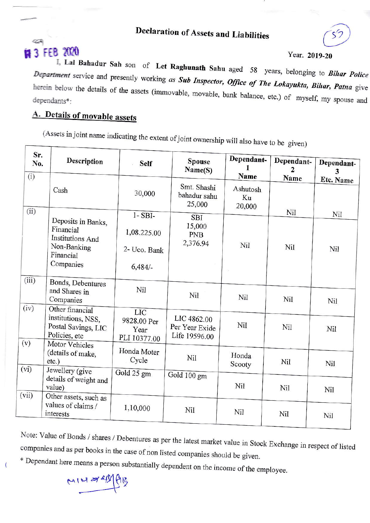## **Declaration of Assets and Liabilities**

# **FEB 2020**

#### Year. 2019-20

I, Lal Bahadur Sah son of Let Raghunath Sahu aged 58 years, belonging to Bihar Police Department service and presently working as Sub Inspector, Office of The Lokayukta, Bihar, Patna give herein below the details of the assets (immovable, movable, bank balance, etc.) of myself, my spouse and

## A. Details of movable assets

(Assets in joint name indicating the extent of joint ownership will also have to be given)

| Sr.<br>No.<br>(i) | Description                                                                   | <b>Self</b>                                       | <b>Spouse</b><br>Name(S)                       | Dependant-<br>Name       | Dependant-<br>2<br>Name | Dependant-<br>3 |
|-------------------|-------------------------------------------------------------------------------|---------------------------------------------------|------------------------------------------------|--------------------------|-------------------------|-----------------|
|                   | Cash                                                                          | 30,000                                            | Smt. Shashi<br>bahadur sahu<br>25,000          | Ashutosh<br>Ku<br>20,000 |                         | Etc. Name       |
| (ii)              | Deposits in Banks,<br>Financial<br><b>Institutions And</b>                    | $1 - SBI-$<br>1,08.225.00                         | <b>SBI</b><br>15,000<br><b>PNB</b>             |                          | Nil                     | Nil             |
|                   | Non-Banking<br>Financial<br>Companies                                         | 2- Uco. Bank<br>6,484/                            | 2,376.94                                       | Nil                      | Nil                     | Nil             |
| (iii)             | Bonds, Debentures<br>and Shares in<br>Companies                               | Nil                                               | Nil                                            | Nil                      | Nil                     | Nil             |
| (iv)              | Other financial<br>institutions, NSS,<br>Postal Savings, LIC<br>Policies, etc | <b>LIC</b><br>9828.00 Per<br>Year<br>PLI 10377.00 | LIC 4862.00<br>Per Year Exide<br>Life 19596.00 | Nil                      | Nil                     | Nil             |
| (v)               | Motor Vehicles<br>(details of make,<br>etc.)                                  | Honda Moter<br>Cycle                              | Nil                                            | Honda<br>Scooty          | Nil                     | Nil             |
| (vi)              | Jewellery (give<br>details of weight and<br>value)                            | Gold 25 gm                                        | Gold 100 gm                                    | Nil                      | Nil                     | Nil             |
| (vii)             | Other assets, such as<br>values of claims /<br>interests                      | 1,10,000                                          | Nil                                            | Nil                      | Nil                     | Nil             |

Note: Value of Bonds / shares / Debentures as per the latest market value in Stock Exchange in respect of listed companies and as per books in the case of non listed companies should be given.

\* Dependant here means a person substantially dependent on the income of the employee.

MINZER

 $\overline{ }$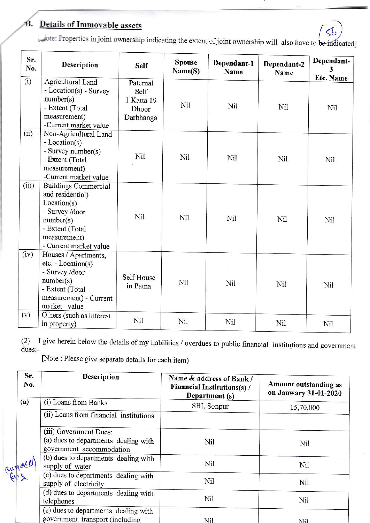#### Details of Immovable assets B.

tote: Properties in joint ownership indicating the extent of joint ownership will also have to be indicated]

| Sr.<br>No. | <b>Description</b>                                                                                                                                         | <b>Self</b>                                          | <b>Spouse</b><br>Name(S) | Dependant-1<br>Name | Dependant-2<br>Name | Dependant-<br>3  |
|------------|------------------------------------------------------------------------------------------------------------------------------------------------------------|------------------------------------------------------|--------------------------|---------------------|---------------------|------------------|
| (i)        | Agricultural Land<br>- Location(s) - Survey<br>number(s)<br>- Extent (Total<br>measurement)<br>-Current market value                                       | Paternal<br>Self<br>1 Katta 19<br>Dhoor<br>Darbhanga | Nil                      | Nil                 | Nil                 | Etc. Name<br>Nil |
| (ii)       | Non-Agricultural Land<br>- Location(s)<br>- Survey number(s)<br>- Extent (Total<br>measurement)<br>-Current market value                                   | Nil                                                  | Nil                      | Nil                 | Nil                 | Nil              |
| (iii)      | <b>Buildings Commercial</b><br>and residential)<br>Location(s)<br>- Survey /door<br>number(s)<br>- Extent (Total<br>measurement)<br>- Current market value | Nil                                                  | Nil                      | Nil                 | Nil                 | Nil              |
| (iv)       | Houses / Apartments,<br>$etc. - Location(s)$<br>- Survey /door<br>number(s)<br>- Extent (Total<br>measurement) - Current<br>market value                   | Self House<br>in Patna                               | Nil                      | Nil                 | Nil                 | <b>Nil</b>       |
| (v)        | Others (such as interest<br>in property)                                                                                                                   | Nil                                                  | Nil                      | <b>Nil</b>          | Nil                 | Nil              |

I give herein below the details of my liabilities / overdues to public financial institutions and government  $(2)$ dues:-

[Note: Please give separate details for each item)

| Sr.<br>No. | <b>Description</b>                                                                         | Name & address of Bank /<br><b>Financial Institutions(s)/</b><br>Department (s) | Amount outstanding as<br>on Janwary 31-01-2020 |
|------------|--------------------------------------------------------------------------------------------|---------------------------------------------------------------------------------|------------------------------------------------|
| (a)        | (i) Loans from Banks                                                                       | SBI, Sonpur                                                                     | 15,70,000                                      |
|            | (ii) Loans from financial institutions                                                     |                                                                                 |                                                |
|            | (iii) Government Dues:<br>(a) dues to departments dealing with<br>government accommodation | Nil                                                                             | Nil                                            |
| amacion    | (b) dues to departments dealing with<br>supply of water                                    | Nil                                                                             | Nil                                            |
|            | (c) dues to departments dealing with<br>supply of electricity                              | Nil                                                                             | Nil                                            |
|            | (d) dues to departments dealing with<br>telephones                                         | Nil                                                                             | Nil                                            |
|            | (e) dues to departments dealing with<br>government transport (including                    | Nil                                                                             | Ni1                                            |